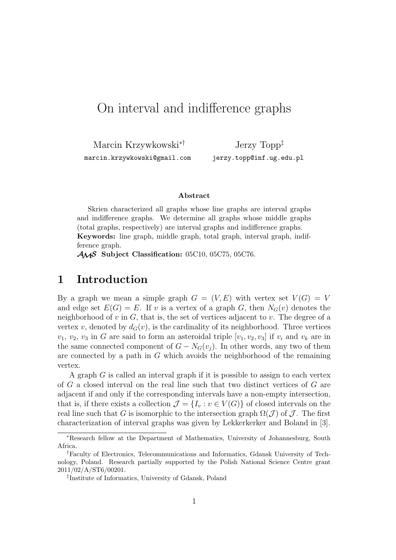# On interval and indifference graphs

Marcin Krzywkowski∗† marcin.krzywkowski@gmail.com

Jerzy Topp‡ jerzy.topp@inf.ug.edu.pl

#### **Abstract**

Skrien characterized all graphs whose line graphs are interval graphs and indifference graphs. We determine all graphs whose middle graphs (total graphs, respectively) are interval graphs and indifference graphs. **Keywords:** line graph, middle graph, total graph, interval graph, indifference graph.

AMS **Subject Classification:** 05C10, 05C75, 05C76.

### **1 Introduction**

By a graph we mean a simple graph  $G = (V, E)$  with vertex set  $V(G) = V$ and edge set  $E(G) = E$ . If v is a vertex of a graph G, then  $N_G(v)$  denotes the neighborhood of  $v$  in  $G$ , that is, the set of vertices adjacent to  $v$ . The degree of a vertex v, denoted by  $d_G(v)$ , is the cardinality of its neighborhood. Three vertices  $v_1, v_2, v_3$  in G are said to form an asteroidal triple  $[v_1, v_2, v_3]$  if  $v_i$  and  $v_k$  are in the same connected component of  $G - N_G(v_i)$ . In other words, any two of them are connected by a path in G which avoids the neighborhood of the remaining vertex.

A graph G is called an interval graph if it is possible to assign to each vertex of G a closed interval on the real line such that two distinct vertices of G are adjacent if and only if the corresponding intervals have a non-empty intersection, that is, if there exists a collection  $\mathcal{J} = \{I_v : v \in V(G)\}\$  of closed intervals on the real line such that G is isomorphic to the intersection graph  $\Omega(\mathcal{J})$  of  $\mathcal{J}$ . The first characterization of interval graphs was given by Lekkerkerker and Boland in [3].

<sup>∗</sup>Research fellow at the Department of Mathematics, University of Johannesburg, South Africa.

<sup>†</sup>Faculty of Electronics, Telecommunications and Informatics, Gdansk University of Technology, Poland. Research partially supported by the Polish National Science Centre grant 2011/02/A/ST6/00201.

<sup>‡</sup> Institute of Informatics, University of Gdansk, Poland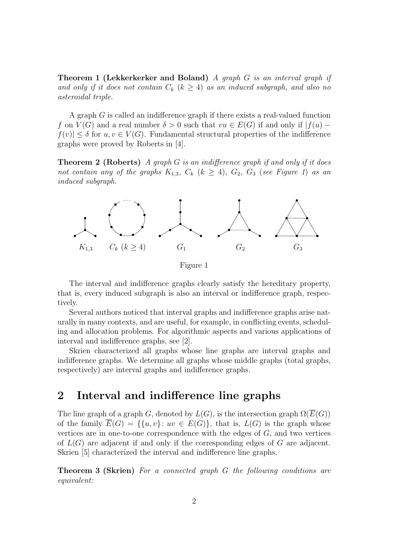**Theorem 1 (Lekkerkerker and Boland)** *A graph* G *is an interval graph if* and only if it does not contain  $C_k$   $(k \geq 4)$  as an induced subgraph, and also no *asteroidal triple.*

A graph G is called an indifference graph if there exists a real-valued function f on  $V(G)$  and a real number  $\delta > 0$  such that  $vu \in E(G)$  if and only if  $|f(u) |f(v)| \leq \delta$  for  $u, v \in V(G)$ . Fundamental structural properties of the indifference graphs were proved by Roberts in [4].

**Theorem 2 (Roberts)** *A graph* G *is an indifference graph if and only if it does not contain any of the graphs*  $K_{1,3}$ ,  $C_k$  ( $k \geq 4$ ),  $G_2$ ,  $G_3$  (*see Figure 1*) *as an induced subgraph.*



The interval and indifference graphs clearly satisfy the hereditary property, that is, every induced subgraph is also an interval or indifference graph, respectively.

Several authors noticed that interval graphs and indifference graphs arise naturally in many contexts, and are useful, for example, in conflicting events, scheduling and allocation problems. For algorithmic aspects and various applications of interval and indifference graphs, see [2].

Skrien characterized all graphs whose line graphs are interval graphs and indifference graphs. We determine all graphs whose middle graphs (total graphs, respectively) are interval graphs and indifference graphs.

### **2 Interval and indifference line graphs**

The line graph of a graph G, denoted by  $L(G)$ , is the intersection graph  $\Omega(\overline{E}(G))$ of the family  $\overline{E}(G) = \{\{u, v\} : uv \in E(G)\}\$ , that is,  $L(G)$  is the graph whose vertices are in one-to-one correspondence with the edges of  $G$ , and two vertices of  $L(G)$  are adjacent if and only if the corresponding edges of G are adjacent. Skrien [5] characterized the interval and indifference line graphs.

**Theorem 3 (Skrien)** *For a connected graph* G *the following conditions are equivalent:*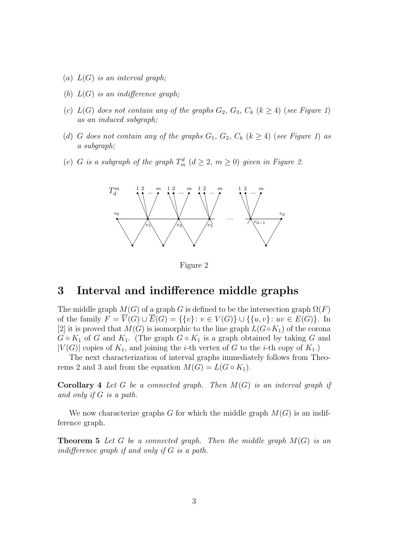- (a) L(G) *is an interval graph;*
- (b) L(G) *is an indifference graph;*
- (c)  $L(G)$  does not contain any of the graphs  $G_2$ ,  $G_3$ ,  $C_k$  ( $k \geq 4$ ) (*see Figure 1*) *as an induced subgraph;*
- (d) G does not contain any of the graphs  $G_1$ ,  $G_2$ ,  $C_k$  ( $k \geq 4$ ) (*see Figure 1*) as *a subgraph;*
- (e) G is a subgraph of the graph  $T_m^d$   $(d \geq 2, m \geq 0)$  given in Figure 2.



Figure 2

## **3 Interval and indifference middle graphs**

The middle graph  $M(G)$  of a graph G is defined to be the intersection graph  $\Omega(F)$ of the family  $F = \overline{V}(G) \cup \overline{E}(G) = \{\{v\}: v \in V(G)\} \cup \{\{u,v\}: uv \in E(G)\}.$  In [2] it is proved that  $M(G)$  is isomorphic to the line graph  $L(G \circ K_1)$  of the corona  $G \circ K_1$  of G and  $K_1$ . (The graph  $G \circ K_1$  is a graph obtained by taking G and  $|V(G)|$  copies of  $K_1$ , and joining the *i*-th vertex of G to the *i*-th copy of  $K_1$ .)

The next characterization of interval graphs immediately follows from Theorems 2 and 3 and from the equation  $M(G) = L(G \circ K_1)$ .

**Corollary 4** *Let* G *be a connected graph. Then* M(G) *is an interval graph if and only if* G *is a path.*

We now characterize graphs G for which the middle graph  $M(G)$  is an indifference graph.

**Theorem 5** *Let* G *be a connected graph. Then the middle graph* M(G) *is an indifference graph if and only if* G *is a path.*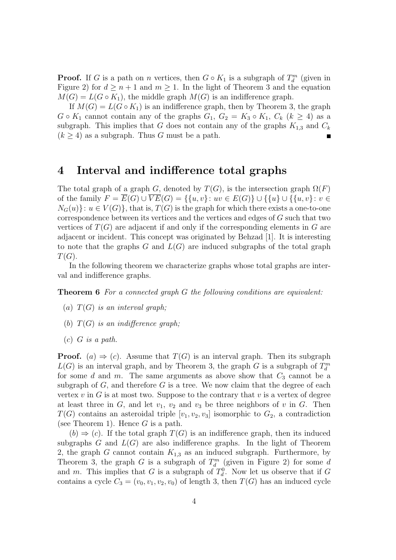**Proof.** If G is a path on n vertices, then  $G \circ K_1$  is a subgraph of  $T_d^m$  (given in Figure 2) for  $d \geq n+1$  and  $m \geq 1$ . In the light of Theorem 3 and the equation  $M(G) = L(G \circ K_1)$ , the middle graph  $M(G)$  is an indifference graph.

If  $M(G) = L(G \circ K_1)$  is an indifference graph, then by Theorem 3, the graph  $G \circ K_1$  cannot contain any of the graphs  $G_1, G_2 = K_3 \circ K_1, C_k$   $(k \geq 4)$  as a subgraph. This implies that G does not contain any of the graphs  $K_{1,3}$  and  $C_k$  $(k > 4)$  as a subgraph. Thus G must be a path.

## **4 Interval and indifference total graphs**

The total graph of a graph G, denoted by  $T(G)$ , is the intersection graph  $\Omega(F)$ of the family  $F = \overline{E}(G) \cup \overline{VE}(G) = \{\{u, v\} : uv \in E(G)\} \cup \{\{u\} \cup \{\{u, v\} : v \in E(G)\}\}$  $N_G(u)$ :  $u \in V(G)$ , that is,  $T(G)$  is the graph for which there exists a one-to-one correspondence between its vertices and the vertices and edges of G such that two vertices of  $T(G)$  are adjacent if and only if the corresponding elements in G are adjacent or incident. This concept was originated by Behzad [1]. It is interesting to note that the graphs  $G$  and  $L(G)$  are induced subgraphs of the total graph  $T(G).$ 

In the following theorem we characterize graphs whose total graphs are interval and indifference graphs.

**Theorem 6** *For a connected graph* G *the following conditions are equivalent:*

- (a) T(G) *is an interval graph;*
- (b) T(G) *is an indifference graph;*
- (c) G *is a path.*

**Proof.** (a)  $\Rightarrow$  (c). Assume that  $T(G)$  is an interval graph. Then its subgraph  $L(G)$  is an interval graph, and by Theorem 3, the graph G is a subgraph of  $T_d^m$ for some d and m. The same arguments as above show that  $C_3$  cannot be a subgraph of  $G$ , and therefore  $G$  is a tree. We now claim that the degree of each vertex  $v$  in  $G$  is at most two. Suppose to the contrary that  $v$  is a vertex of degree at least three in  $G$ , and let  $v_1$ ,  $v_2$  and  $v_3$  be three neighbors of v in  $G$ . Then  $T(G)$  contains an asteroidal triple  $[v_1, v_2, v_3]$  isomorphic to  $G_2$ , a contradiction (see Theorem 1). Hence  $G$  is a path.

 $(b) \Rightarrow (c)$ . If the total graph  $T(G)$  is an indifference graph, then its induced subgraphs  $G$  and  $L(G)$  are also indifference graphs. In the light of Theorem 2, the graph G cannot contain  $K_{1,3}$  as an induced subgraph. Furthermore, by Theorem 3, the graph  $G$  is a subgraph of  $T_d^m$  (given in Figure 2) for some d and m. This implies that G is a subgraph of  $T_d^0$  $\mathcal{C}_d^0$ . Now let us observe that if G contains a cycle  $C_3 = (v_0, v_1, v_2, v_0)$  of length 3, then  $T(G)$  has an induced cycle